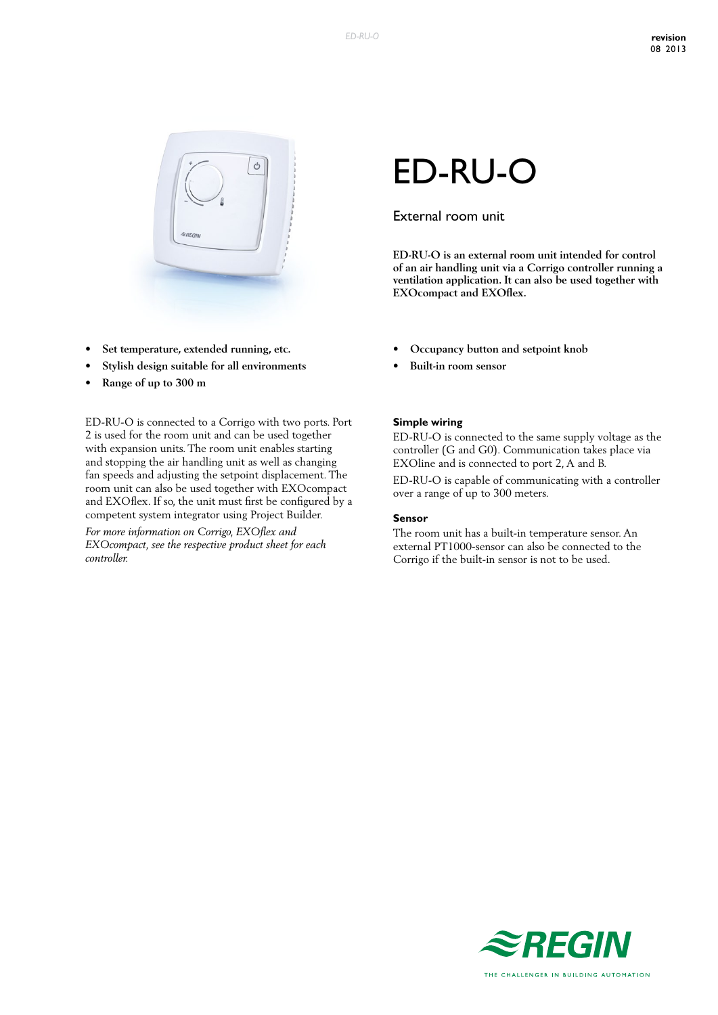

- **• Set temperature, extended running, etc.**
- **• Stylish design suitable for all environments**
- **• Range of up to 300 m**

ED-RU-O is connected to a Corrigo with two ports. Port 2 is used for the room unit and can be used together with expansion units. The room unit enables starting and stopping the air handling unit as well as changing fan speeds and adjusting the setpoint displacement. The room unit can also be used together with EXOcompact and EXOflex. If so, the unit must first be configured by a competent system integrator using Project Builder.

*For more information on Corrigo, EXOflex and EXOcompact, see the respective product sheet for each controller.*

# ED-RU-O

### External room unit

**ED-RU-O is an external room unit intended for control of an air handling unit via a Corrigo controller running a ventilation application. It can also be used together with EXOcompact and EXOflex.**

- **• Occupancy button and setpoint knob**
- **• Built-in room sensor**

#### **Simple wiring**

ED-RU-O is connected to the same supply voltage as the controller (G and G0). Communication takes place via EXOline and is connected to port 2, A and B.

ED-RU-O is capable of communicating with a controller over a range of up to 300 meters.

#### **Sensor**

The room unit has a built-in temperature sensor. An external PT1000-sensor can also be connected to the Corrigo if the built-in sensor is not to be used.

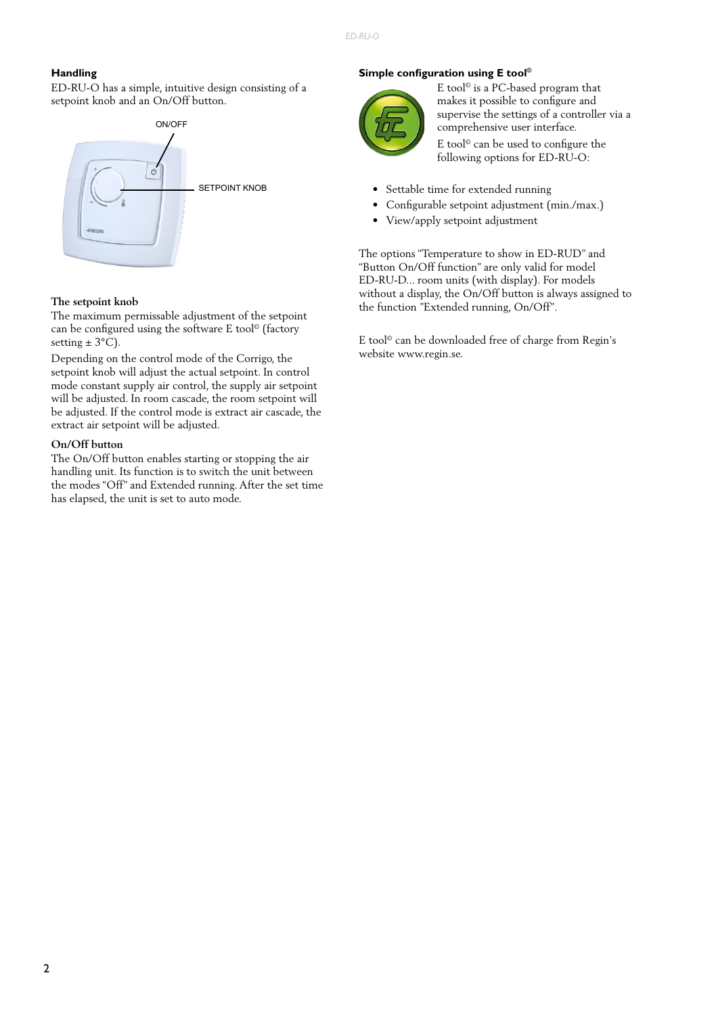#### **Handling**

ED-RU-O has a simple, intuitive design consisting of a setpoint knob and an On/Off button.



#### **The setpoint knob**

The maximum permissable adjustment of the setpoint can be configured using the software E tool© (factory setting  $\pm$  3°C).

Depending on the control mode of the Corrigo, the setpoint knob will adjust the actual setpoint. In control mode constant supply air control, the supply air setpoint will be adjusted. In room cascade, the room setpoint will be adjusted. If the control mode is extract air cascade, the extract air setpoint will be adjusted.

#### **On/Off button**

The On/Off button enables starting or stopping the air handling unit. Its function is to switch the unit between the modes "Off" and Extended running. After the set time has elapsed, the unit is set to auto mode.

#### **Simple configuration using E tool©**



E tool© is a PC-based program that makes it possible to configure and supervise the settings of a controller via a comprehensive user interface.

E tool© can be used to configure the following options for ED-RU-O:

- Settable time for extended running
- Configurable setpoint adjustment (min./max.)
- View/apply setpoint adjustment

The options "Temperature to show in ED-RUD" and "Button On/Off function" are only valid for model ED-RU-D... room units (with display). For models without a display, the On/Off button is always assigned to the function "Extended running, On/Off".

E tool© can be downloaded free of charge from Regin's website www.regin.se.